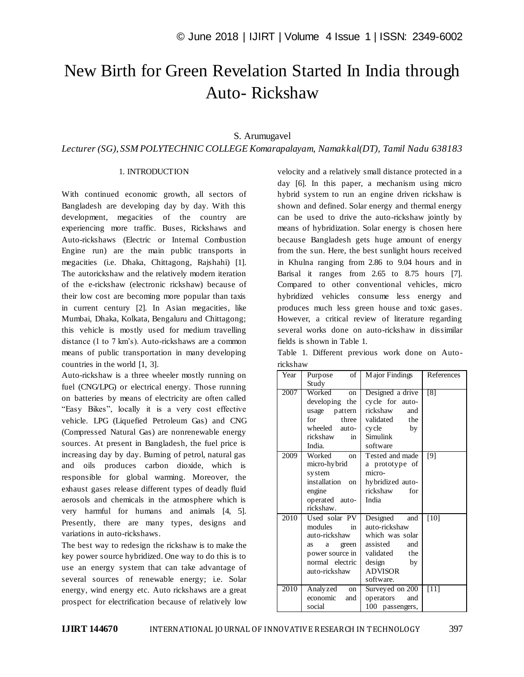# New Birth for Green Revelation Started In India through Auto- Rickshaw

## S. Arumugavel

*Lecturer (SG)*, *SSM POLYTECHNIC COLLEGE Komarapalayam, Namakkal(DT), Tamil Nadu 638183*

## 1. INTRODUCTION

With continued economic growth, all sectors of Bangladesh are developing day by day. With this development, megacities of the country are experiencing more traffic. Buses, Rickshaws and Auto-rickshaws (Electric or Internal Combustion Engine run) are the main public transports in megacities (i.e. Dhaka, Chittagong, Rajshahi) [1]. The autorickshaw and the relatively modern iteration of the e-rickshaw (electronic rickshaw) because of their low cost are becoming more popular than taxis in current century [2]. In Asian megacities, like Mumbai, Dhaka, Kolkata, Bengaluru and Chittagong; this vehicle is mostly used for medium travelling distance (1 to 7 km"s). Auto-rickshaws are a common means of public transportation in many developing countries in the world [1, 3].

Auto-rickshaw is a three wheeler mostly running on fuel (CNG/LPG) or electrical energy. Those running on batteries by means of electricity are often called "Easy Bikes", locally it is a very cost effective vehicle. LPG (Liquefied Petroleum Gas) and CNG (Compressed Natural Gas) are nonrenewable energy sources. At present in Bangladesh, the fuel price is increasing day by day. Burning of petrol, natural gas and oils produces carbon dioxide, which is responsible for global warming. Moreover, the exhaust gases release different types of deadly fluid aerosols and chemicals in the atmosphere which is very harmful for humans and animals [4, 5]. Presently, there are many types, designs and variations in auto-rickshaws.

The best way to redesign the rickshaw is to make the key power source hybridized. One way to do this is to use an energy system that can take advantage of several sources of renewable energy; i.e. Solar energy, wind energy etc. Auto rickshaws are a great prospect for electrification because of relatively low velocity and a relatively small distance protected in a day [6]. In this paper, a mechanism using micro hybrid system to run an engine driven rickshaw is shown and defined. Solar energy and thermal energy can be used to drive the auto-rickshaw jointly by means of hybridization. Solar energy is chosen here because Bangladesh gets huge amount of energy from the sun. Here, the best sunlight hours received in Khulna ranging from 2.86 to 9.04 hours and in Barisal it ranges from 2.65 to 8.75 hours [7]. Compared to other conventional vehicles, micro hybridized vehicles consume less energy and produces much less green house and toxic gases. However, a critical review of literature regarding several works done on auto-rickshaw in dissimilar fields is shown in Table 1.

|          | Table 1. Different previous work done on Auto- |  |  |  |
|----------|------------------------------------------------|--|--|--|
| rickshaw |                                                |  |  |  |

| Year | $\overline{\text{of}}$<br>Purpose | Major Findings   | References |
|------|-----------------------------------|------------------|------------|
|      | Study                             |                  |            |
| 2007 | Worked<br><sub>on</sub>           | Designed a drive | [8]        |
|      | developing the                    | cycle for auto-  |            |
|      | usage pattern                     | rickshaw<br>and  |            |
|      | for<br>three                      | validated<br>the |            |
|      | wheeled<br>auto-                  | cycle<br>by      |            |
|      | rickshaw<br>in                    | Simulink         |            |
|      | India.                            | software         |            |
| 2009 | Worked<br><sub>on</sub>           | Tested and made  | [9]        |
|      | micro-hybrid                      | a prototype of   |            |
|      | system                            | micro-           |            |
|      | installation on                   | hybridized auto- |            |
|      | engine                            | rickshaw<br>for  |            |
|      | operated auto-                    | India            |            |
|      | rickshaw.                         |                  |            |
| 2010 | Used solar PV                     | Designed and     | $[10]$     |
|      | modules<br>in                     | auto-rickshaw    |            |
|      | auto-rickshaw                     | which was solar  |            |
|      | green<br>a<br>as                  | assisted<br>and  |            |
|      | power source in                   | validated<br>the |            |
|      | normal electric                   | design<br>by     |            |
|      | auto-rickshaw                     | <b>ADVISOR</b>   |            |
|      |                                   | software.        |            |
| 2010 | Analyzed<br>on                    | Surveyed on 200  | $[11]$     |
|      | economic<br>and                   | operators<br>and |            |
|      | social                            | 100 passengers,  |            |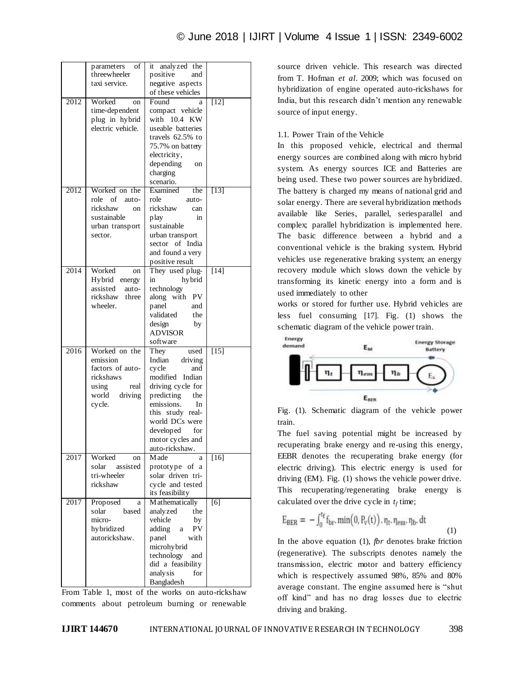|      | parameters<br>of<br>threewheeler<br>taxi service. | it analyzed the<br>positive<br>and<br>negative aspects<br>of these vehicles |                   |
|------|---------------------------------------------------|-----------------------------------------------------------------------------|-------------------|
|      |                                                   |                                                                             |                   |
| 2012 | Worked<br>on                                      | Found<br>a                                                                  | $[12]$            |
|      | time-dependent                                    | compact vehicle                                                             |                   |
|      | plug in hybrid                                    | with 10.4 KW                                                                |                   |
|      | electric vehicle.                                 | useable batteries                                                           |                   |
|      |                                                   |                                                                             |                   |
|      |                                                   | travels 62.5% to                                                            |                   |
|      |                                                   | 75.7% on battery                                                            |                   |
|      |                                                   | electricity,                                                                |                   |
|      |                                                   | depending<br>on                                                             |                   |
|      |                                                   | charging                                                                    |                   |
|      |                                                   | scenario.                                                                   |                   |
|      |                                                   |                                                                             |                   |
| 2012 | Worked on the                                     | Examined<br>the                                                             | $[13]$            |
|      | of<br>role<br>auto-                               | role<br>auto-                                                               |                   |
|      | rickshaw<br>on                                    | rickshaw<br>can                                                             |                   |
|      | sustainable                                       | in<br>play                                                                  |                   |
|      | urban transport                                   | sustainable                                                                 |                   |
|      |                                                   |                                                                             |                   |
|      | sector.                                           | urban transport                                                             |                   |
|      |                                                   | sector of India                                                             |                   |
|      |                                                   | and found a very                                                            |                   |
|      |                                                   | positive result                                                             |                   |
| 2014 | Worked<br>on                                      | They used plug-                                                             | $\overline{[14]}$ |
|      | Hybrid energy                                     | hybrid<br>in                                                                |                   |
|      | assisted<br>auto-                                 | technology                                                                  |                   |
|      | rickshaw<br>three                                 | along with<br><b>PV</b>                                                     |                   |
|      |                                                   |                                                                             |                   |
|      | wheeler.                                          | panel<br>and                                                                |                   |
|      |                                                   | validated<br>the                                                            |                   |
|      |                                                   | design<br>by                                                                |                   |
|      |                                                   | <b>ADVISOR</b>                                                              |                   |
|      |                                                   | software                                                                    |                   |
| 2016 | Worked on the                                     | They<br>used                                                                | $[15]$            |
|      | emission                                          | Indian<br>driving                                                           |                   |
|      | factors of auto-                                  | cycle<br>and                                                                |                   |
|      | rickshaws                                         | modified Indian                                                             |                   |
|      |                                                   |                                                                             |                   |
|      | using<br>real                                     | driving cycle for                                                           |                   |
|      | driving<br>world                                  | predicting<br>the                                                           |                   |
|      | cycle.                                            | emissions.<br>In                                                            |                   |
|      |                                                   | this study real-                                                            |                   |
|      |                                                   | world DCs were                                                              |                   |
|      |                                                   | developed<br>for                                                            |                   |
|      |                                                   | motor cycles and                                                            |                   |
|      |                                                   | auto-rickshaw.                                                              |                   |
| 2017 | Worked                                            | M ade                                                                       |                   |
|      | on                                                | a                                                                           | $[16]$            |
|      | solar<br>assisted                                 | prototype of a                                                              |                   |
|      | tri-wheeler                                       | solar driven tri-                                                           |                   |
|      | rickshaw                                          | cycle and tested                                                            |                   |
|      |                                                   | its feasibility                                                             |                   |
| 2017 | Proposed<br>a                                     | M athematically                                                             | [6]               |
|      | solar<br>based                                    | analyzed<br>the                                                             |                   |
|      | micro-                                            | vehicle<br>by                                                               |                   |
|      | hybridized                                        | PV<br>adding<br>a                                                           |                   |
|      | autorickshaw.                                     | panel<br>with                                                               |                   |
|      |                                                   |                                                                             |                   |
|      |                                                   | microhy brid                                                                |                   |
|      |                                                   | technology<br>and                                                           |                   |
|      |                                                   | did a feasibility                                                           |                   |
|      |                                                   | analysis<br>for                                                             |                   |
|      |                                                   | Bangladesh                                                                  |                   |

From Table 1, most of the works on auto-rickshaw comments about petroleum burning or renewable

source driven vehicle. This research was directed from T. Hofman *et al.* 2009; which was focused on hybridization of engine operated auto-rickshaws for India, but this research didn"t mention any renewable source of input energy.

## 1.1. Power Train of the Vehicle

In this proposed vehicle, electrical and thermal energy sources are combined along with micro hybrid system. As energy sources ICE and Batteries are being used. These two power sources are hybridized. The battery is charged my means of national grid and solar energy. There are several hybridization methods available like Series, parallel, seriesparallel and complex; parallel hybridization is implemented here. The basic difference between a hybrid and a conventional vehicle is the braking system. Hybrid vehicles use regenerative braking system; an energy recovery module which slows down the vehicle by transforming its kinetic energy into a form and is used immediately to other

works or stored for further use. Hybrid vehicles are less fuel consuming [17]. Fig. (1) shows the schematic diagram of the vehicle power train.



Fig. (1). Schematic diagram of the vehicle power train.

The fuel saving potential might be increased by recuperating brake energy and re-using this energy, EEBR denotes the recuperating brake energy (for electric driving). This electric energy is used for driving (EM). Fig. (1) shows the vehicle power drive. This recuperating/regenerating brake energy is calculated over the drive cycle in  $t_f$  time;

$$
E_{BER} = -\int_0^{t_f} f_{br} \cdot \min(0, P_v(t)) \cdot \eta_t, \eta_{em}, \eta_b \cdot dt \tag{1}
$$

In the above equation (1), *fbr* denotes brake friction (regenerative). The subscripts denotes namely the transmission, electric motor and battery efficiency which is respectively assumed 98%, 85% and 80% average constant. The engine assumed here is "shut off kind" and has no drag losses due to electric driving and braking.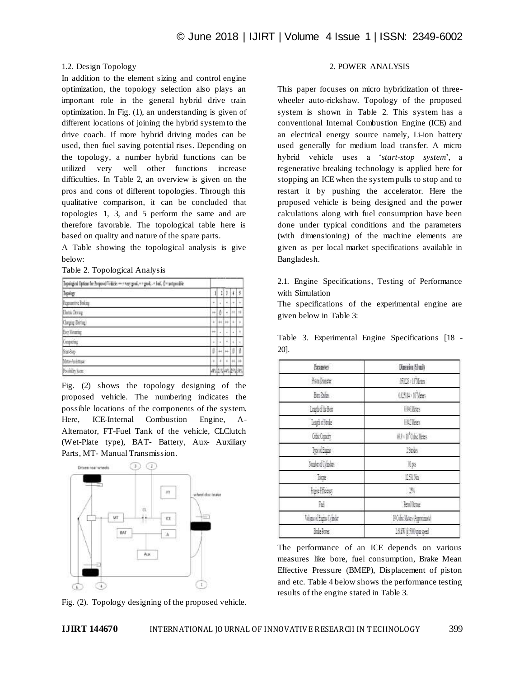## 1.2. Design Topology

In addition to the element sizing and control engine optimization, the topology selection also plays an important role in the general hybrid drive train optimization. In Fig. (1), an understanding is given of different locations of joining the hybrid system to the drive coach. If more hybrid driving modes can be used, then fuel saving potential rises. Depending on the topology, a number hybrid functions can be utilized very well other functions increase difficulties. In Table 2, an overview is given on the pros and cons of different topologies. Through this qualitative comparison, it can be concluded that topologies 1, 3, and 5 perform the same and are therefore favorable. The topological table here is based on quality and nature of the spare parts.

A Table showing the topological analysis is give below:

Table 2. Topological Analysis

| Impulsorical Options for Proposed Tabletic ++ = very need,<br>paid - "hat, U = not payable<br>t |        |                |                |      |               |
|-------------------------------------------------------------------------------------------------|--------|----------------|----------------|------|---------------|
| Tapalogy                                                                                        | Ì      | l              |                |      | \$            |
| Reportive Boling                                                                                | ٠      | $\blacksquare$ | ٠              | ÷    | ¥             |
| Electric Dering                                                                                 | $^{+}$ |                | ÷              | ÷    | $\rightarrow$ |
| Clarging Driving)                                                                               | ٠      | u              | i.             | ٠    | ä             |
| Evy Meaning                                                                                     | H      | ٠              | ٠              | ٠    |               |
| Controll                                                                                        | ٠      | $\mathbf{r}$   | ÷              | à.   | í.            |
| Seat-Step                                                                                       | Ø      | 丘              | $\overline{+}$ | Ø    | ø             |
| <b>BOI-REESSE</b>                                                                               | ä      |                | ä              | ÷    | ļü.           |
| widen Som                                                                                       | 45     | 卽              | W°.            | 1101 | ltu           |

Fig. (2) shows the topology designing of the proposed vehicle. The numbering indicates the possible locations of the components of the system. Here, ICE-Internal Combustion Engine, A-Alternator, FT-Fuel Tank of the vehicle, CLClutch (Wet-Plate type), BAT- Battery, Aux- Auxiliary Parts, MT- Manual Transmission.



Fig. (2). Topology designing of the proposed vehicle.

## 2. POWER ANALYSIS

This paper focuses on micro hybridization of threewheeler auto-rickshaw. Topology of the proposed system is shown in Table 2. This system has a conventional Internal Combustion Engine (ICE) and an electrical energy source namely, Li-ion battery used generally for medium load transfer. A micro hybrid vehicle uses a "*start-stop system*", a regenerative breaking technology is applied here for stopping an ICE when the system pulls to stop and to restart it by pushing the accelerator. Here the proposed vehicle is being designed and the power calculations along with fuel consumption have been done under typical conditions and the parameters (with dimensioning) of the machine elements are given as per local market specifications available in Bangladesh.

2.1. Engine Specifications, Testing of Performance with Simulation

The specifications of the experimental engine are given below in Table 3:

Table 3. Experimental Engine Specifications [18 -

| Parameters               | Dimension ST multi                |
|--------------------------|-----------------------------------|
| <b>Francische</b>        | <b>NO</b> inks                    |
| Bere Paders              | <b>AUSTHALT Meters</b>            |
| Legislicher              | <b>UK Jess</b>                    |
| Leather Stock            | <b>[其]效3</b>                      |
| Celix Cassing            | 69 If One Mates                   |
| <b>Tyceffans</b>         | 25mler                            |
| Number of Cylinders      | (Ips                              |
| Inge                     | 19%                               |
| <b>Engine Efficienty</b> | $\mathbb{F}_2$                    |
| 証                        | <b>Real October</b>               |
| Vene of Engine Cylinder  | <b>HOlic Meters (Approximate)</b> |
| likht                    | 16HW @ 5WO passpeed               |

The performance of an ICE depends on various measures like bore, fuel consumption, Brake Mean Effective Pressure (BMEP), Displacement of piston and etc. Table 4 below shows the performance testing results of the engine stated in Table 3.

20].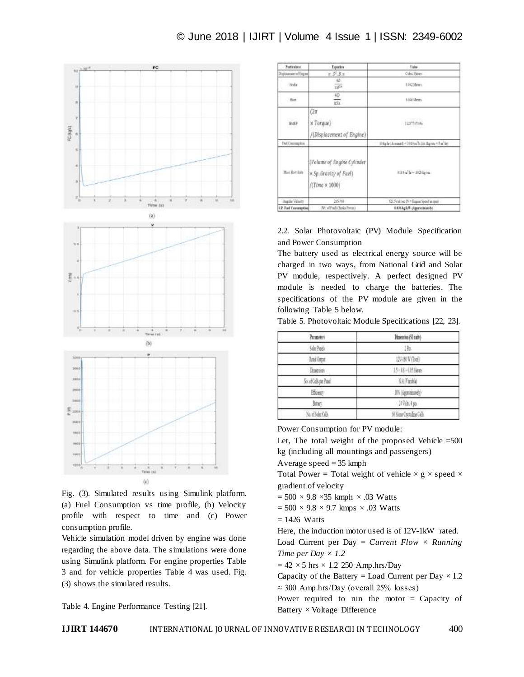## © June 2018 | IJIRT | Volume 4 Issue 1 | ISSN: 2349-6002



Fig. (3). Simulated results using Simulink platform. (a) Fuel Consumption vs time profile, (b) Velocity profile with respect to time and (c) Power consumption profile.

Vehicle simulation model driven by engine was done regarding the above data. The simulations were done using Simulink platform. For engine properties Table 3 and for vehicle properties Table 4 was used. Fig. (3) shows the simulated results.

Table 4. Engine Performance Testing [21].

| Particulates.                    | <b>Equation</b>                                                                      | Taler                                               |
|----------------------------------|--------------------------------------------------------------------------------------|-----------------------------------------------------|
| Displacement of Engine           | p. S. R. p.                                                                          | Cidia Meters                                        |
| <b>Studie</b>                    | 45<br>$\frac{1}{10}$                                                                 | 3.042 Maters                                        |
| Big                              | 49<br>тŝа.                                                                           | 5.046 Meters                                        |
| <b>LES LOCAL</b><br>BVEP<br>1863 | $(2\pi$<br>$\times Torque$<br>/(Displacement of Engine)                              | 1112092-01<br><b>SUSTITURE</b>                      |
| <b>Fad Conveytor</b>             |                                                                                      | 07kg/let Monage() = 0.814 pr/h Dis Highes = f m"let |
| Mass Flow Bare                   | (Volume of Engine Cylinder<br>x Sp. Gravity of Fuel)<br>$/(\text{Time} \times 1000)$ | 1.014 of br = 1025 lights:                          |
| Augür Véney                      | 205748                                                                               | N15 risk on Di v Esgent Sport in most               |
| 5.7. Fast Contemption            | (W. of Fad) (Basks Penan)                                                            | 6.836 kg/kW (Approximately)                         |

## 2.2. Solar Photovoltaic (PV) Module Specification and Power Consumption

The battery used as electrical energy source will be charged in two ways, from National Grid and Solar PV module, respectively. A perfect designed PV module is needed to charge the batteries. The specifications of the PV module are given in the following Table 5 below.

Table 5. Photovoltaic Module Specifications [22, 23].

| Parsmeters           | Dimension (SI units)     |
|----------------------|--------------------------|
| Salat Procis         | 135                      |
| Read Oxper           | 以得有伤症                    |
| <b>Deseron</b>       | 15 18 18 lies            |
| No. of College Panel | NARmike                  |
| Hicean               | IT's (Approximately)     |
| Sergy.               | 计验标                      |
| No. of Solar Cells   | 60 Mont Cross Eine Cells |

Power Consumption for PV module:

Let, The total weight of the proposed Vehicle  $=500$ kg (including all mountings and passengers)

Average speed  $= 35$  kmph

Total Power = Total weight of vehicle  $\times$  g  $\times$  speed  $\times$ gradient of velocity

 $= 500 \times 9.8 \times 35$  kmph  $\times .03$  Watts

 $= 500 \times 9.8 \times 9.7$  kmps  $\times .03$  Watts

$$
= 1426
$$
 Watts

Here, the induction motor used is of 12V-1kW rated.

Load Current per Day = *Current Flow × Running Time per Day × 1.2*

 $= 42 \times 5$  hrs  $\times$  1.2 250 Amp.hrs/Day

Capacity of the Battery = Load Current per Day  $\times$  1.2  $\approx$  300 Amp.hrs/Day (overall 25% losses)

Power required to run the motor = Capacity of Battery × Voltage Difference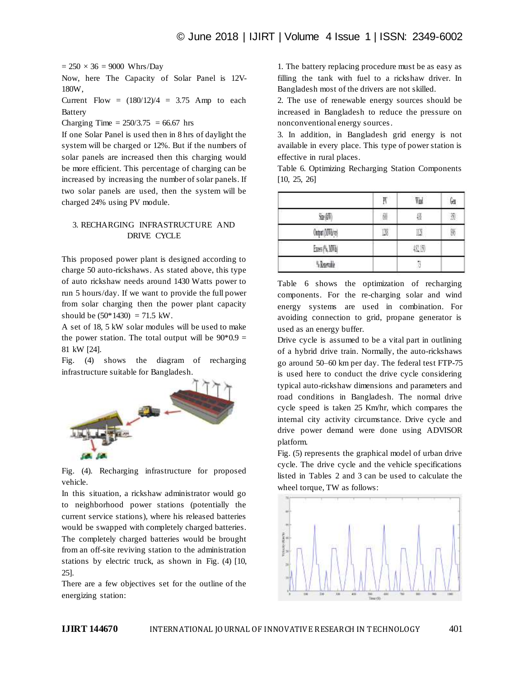$= 250 \times 36 = 9000$  Whrs/Day

Now, here The Capacity of Solar Panel is 12V-180W,

Current Flow =  $(180/12)/4$  = 3.75 Amp to each Battery

Charging Time =  $250/3.75$  = 66.67 hrs

If one Solar Panel is used then in 8 hrs of daylight the system will be charged or 12%. But if the numbers of solar panels are increased then this charging would be more efficient. This percentage of charging can be increased by increasing the number of solar panels. If two solar panels are used, then the system will be charged 24% using PV module.

## 3. RECHARGING INFRASTRUCTURE AND DRIVE CYCLE

This proposed power plant is designed according to charge 50 auto-rickshaws. As stated above, this type of auto rickshaw needs around 1430 Watts power to run 5 hours/day. If we want to provide the full power from solar charging then the power plant capacity should be  $(50*1430) = 71.5$  kW.

A set of 18, 5 kW solar modules will be used to make the power station. The total output will be  $90*0.9 =$ 81 kW [24].

Fig. (4) shows the diagram of recharging infrastructure suitable for Bangladesh.



Fig. (4). Recharging infrastructure for proposed vehicle.

In this situation, a rickshaw administrator would go to neighborhood power stations (potentially the current service stations), where his released batteries would be swapped with completely charged batteries. The completely charged batteries would be brought from an off-site reviving station to the administration stations by electric truck, as shown in Fig. (4) [10, 25].

There are a few objectives set for the outline of the energizing station:

1. The battery replacing procedure must be as easy as filling the tank with fuel to a rickshaw driver. In Bangladesh most of the drivers are not skilled.

2. The use of renewable energy sources should be increased in Bangladesh to reduce the pressure on nonconventional energy sources.

3. In addition, in Bangladesh grid energy is not available in every place. This type of power station is effective in rural places.

Table 6. Optimizing Recharging Station Components [10, 25, 26]

|                   | w<br>n | W  | 64 |
|-------------------|--------|----|----|
| 血師                | û.     | 儧  | 獲  |
| Output (OTFO) vel |        |    | W  |
| <b>EnsAWN</b>     |        | 援助 |    |
| <b>Slamk</b>      |        |    |    |

Table 6 shows the optimization of recharging components. For the re-charging solar and wind energy systems are used in combination. For avoiding connection to grid, propane generator is used as an energy buffer.

Drive cycle is assumed to be a vital part in outlining of a hybrid drive train. Normally, the auto-rickshaws go around 50–60 km per day. The federal test FTP-75 is used here to conduct the drive cycle considering typical auto-rickshaw dimensions and parameters and road conditions in Bangladesh. The normal drive cycle speed is taken 25 Km/hr, which compares the internal city activity circumstance. Drive cycle and drive power demand were done using ADVISOR platform.

Fig. (5) represents the graphical model of urban drive cycle. The drive cycle and the vehicle specifications listed in Tables 2 and 3 can be used to calculate the wheel torque, TW as follows:

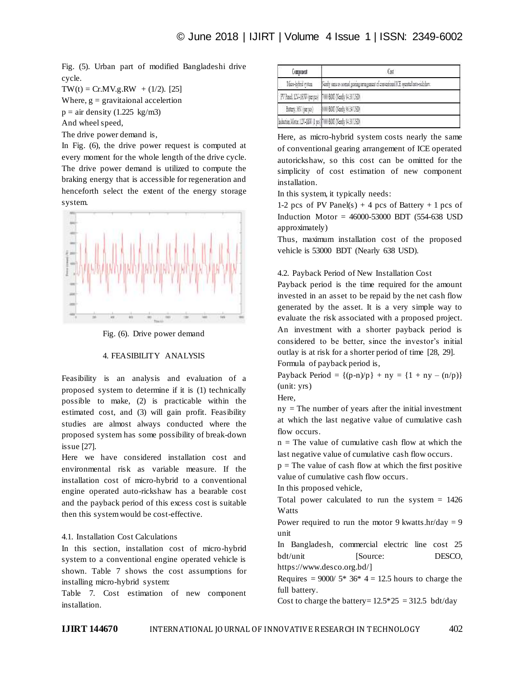Fig. (5). Urban part of modified Bangladeshi drive cycle.

 $TW(t) = Cr.MV.g.RW + (1/2).$  [25] Where,  $g =$  gravitaional accelertion  $p = air density (1.225 kg/m3)$ And wheel speed,

The drive power demand is,

In Fig. (6), the drive power request is computed at every moment for the whole length of the drive cycle. The drive power demand is utilized to compute the braking energy that is accessible for regeneration and henceforth select the extent of the energy storage system.



Fig. (6). Drive power demand

## 4. FEASIBILITY ANALYSIS

Feasibility is an analysis and evaluation of a proposed system to determine if it is (1) technically possible to make, (2) is practicable within the estimated cost, and (3) will gain profit. Feasibility studies are almost always conducted where the proposed system has some possibility of break-down issue [27].

Here we have considered installation cost and environmental risk as variable measure. If the installation cost of micro-hybrid to a conventional engine operated auto-rickshaw has a bearable cost and the payback period of this excess cost is suitable then this system would be cost-effective.

## 4.1. Installation Cost Calculations

In this section, installation cost of micro-hybrid system to a conventional engine operated vehicle is shown. Table 7 shows the cost assumptions for installing micro-hybrid system:

Table 7. Cost estimation of new component installation.

| Composent                                                     | 681                                                                                   |  |
|---------------------------------------------------------------|---------------------------------------------------------------------------------------|--|
| Mon-Integlaving                                               | Nearly same as normal genering newagement of conventional KE operated into-nickslaws. |  |
| PV Paul LIV-18/W (per pcs)   TWO BOT (Nearly \$4.30 LSD)      |                                                                                       |  |
|                                                               | Battery, NV (per pcs) [8000 BDT (Nearly MS4 USD)                                      |  |
| Induction Motor, LTV (LW)   pcs   700 BDT (Nearly \$4.36 USD) |                                                                                       |  |

Here, as micro-hybrid system costs nearly the same of conventional gearing arrangement of ICE operated autorickshaw, so this cost can be omitted for the simplicity of cost estimation of new component installation.

In this system, it typically needs:

1-2 pcs of PV Panel(s) + 4 pcs of Battery + 1 pcs of Induction Motor =  $46000 - 53000$  BDT (554-638 USD) approximately)

Thus, maximum installation cost of the proposed vehicle is 53000 BDT (Nearly 638 USD).

4.2. Payback Period of New Installation Cost

Payback period is the time required for the amount invested in an asset to be repaid by the net cash flow generated by the asset. It is a very simple way to evaluate the risk associated with a proposed project. An investment with a shorter payback period is considered to be better, since the investor"s initial outlay is at risk for a shorter period of time [28, 29]. Formula of payback period is,

Payback Period =  ${(p-n)/p}$  + ny =  ${1 + ny - (n/p)}$ (unit: yrs)

Here,

 $ny$  = The number of years after the initial investment at which the last negative value of cumulative cash flow occurs.

 $n =$ The value of cumulative cash flow at which the last negative value of cumulative cash flow occurs.

 $p =$ The value of cash flow at which the first positive value of cumulative cash flow occurs.

In this proposed vehicle,

Total power calculated to run the system  $= 1426$ **Watts** 

Power required to run the motor 9 kwatts.hr/day = 9 unit

In Bangladesh, commercial electric line cost 25 bdt/unit [Source: DESCO, https://www.desco.org.bd/]

Requires =  $9000/5*36*4 = 12.5$  hours to charge the full battery.

Cost to charge the battery=  $12.5*25 = 312.5$  bdt/day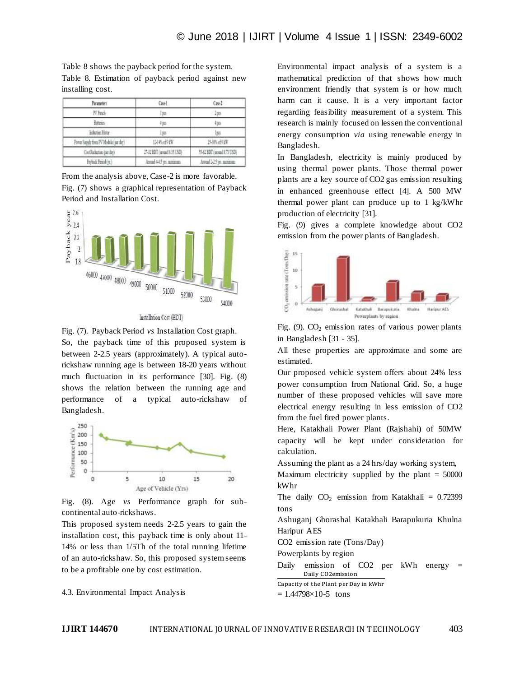Table 8 shows the payback period for the system. Table 8. Estimation of payback period against new installing cost.

| Parameters:                           | Cas-1                       | Cov.                       |
|---------------------------------------|-----------------------------|----------------------------|
| 7/ Fash                               | Jpp.                        | $-190$                     |
| Batmer.                               | 4pp.                        | 498                        |
| Induzion Mator                        | 160.7                       | lpo.                       |
| Power Supply from PV Module (per day) | 以所示医                        | 15 Biof9 BE                |
| Cost Roberton (per day)               | 27-32 BDT (seound 6.35 USD) | 5542 BDT (around 8.73 USD) |
| Faylord: Faxod (vz.)                  | Aveal 445 m arrivan         | Januar 2012 Sales          |

From the analysis above, Case-2 is more favorable. Fig. (7) shows a graphical representation of Payback Period and Installation Cost.



Installation Cost (BDT)

Fig. (7). Payback Period *vs* Installation Cost graph. So, the payback time of this proposed system is between 2-2.5 years (approximately). A typical autorickshaw running age is between 18-20 years without much fluctuation in its performance [30]. Fig. (8) shows the relation between the running age and performance of a typical auto-rickshaw of Bangladesh.



Fig. (8). Age *vs* Performance graph for subcontinental auto-rickshaws.

This proposed system needs 2-2.5 years to gain the installation cost, this payback time is only about 11- 14% or less than 1/5Th of the total running lifetime of an auto-rickshaw. So, this proposed system seems to be a profitable one by cost estimation.

4.3. Environmental Impact Analysis

Environmental impact analysis of a system is a mathematical prediction of that shows how much environment friendly that system is or how much harm can it cause. It is a very important factor regarding feasibility measurement of a system. This research is mainly focused on lessen the conventional energy consumption *via* using renewable energy in Bangladesh.

In Bangladesh, electricity is mainly produced by using thermal power plants. Those thermal power plants are a key source of CO2 gas emission resulting in enhanced greenhouse effect [4]. A 500 MW thermal power plant can produce up to 1 kg/kWhr production of electricity [31].

Fig. (9) gives a complete knowledge about CO2 emission from the power plants of Bangladesh.



Fig.  $(9)$ .  $CO<sub>2</sub>$  emission rates of various power plants in Bangladesh [31 - 35].

All these properties are approximate and some are estimated.

Our proposed vehicle system offers about 24% less power consumption from National Grid. So, a huge number of these proposed vehicles will save more electrical energy resulting in less emission of CO2 from the fuel fired power plants.

Here, Katakhali Power Plant (Rajshahi) of 50MW capacity will be kept under consideration for calculation.

Assuming the plant as a 24 hrs/day working system,

Maximum electricity supplied by the plant  $= 50000$ kWhr

The daily  $CO<sub>2</sub>$  emission from Katakhali = 0.72399 tons

Ashuganj Ghorashal Katakhali Barapukuria Khulna Haripur AES

CO2 emission rate (Tons/Day)

Powerplants by region

Daily emission of CO2 per kWh energy = Daily CO2emission

Capacity of the Plant per Day in kWhr

 $= 1.44798 \times 10^{-5}$  tons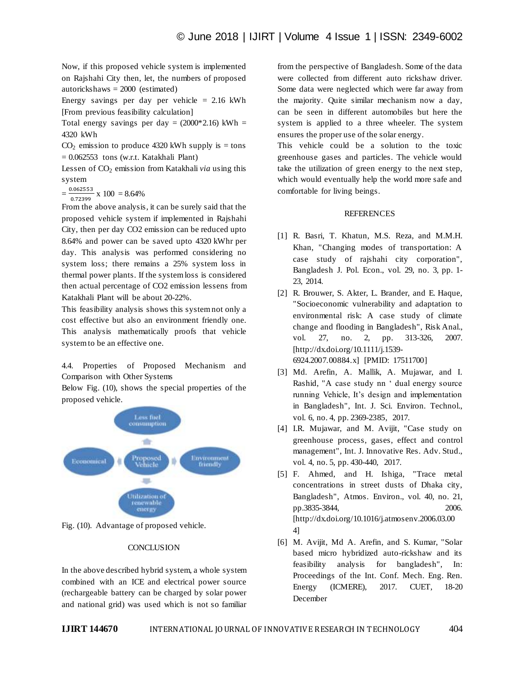Now, if this proposed vehicle system is implemented on Rajshahi City then, let, the numbers of proposed autorickshaws = 2000 (estimated)

Energy savings per day per vehicle  $= 2.16$  kWh [From previous feasibility calculation]

Total energy savings per day =  $(2000*2.16)$  kWh = 4320 kWh

 $CO<sub>2</sub>$  emission to produce 4320 kWh supply is = tons  $= 0.062553$  tons (w.r.t. Katakhali Plant)

Lessen of CO<sub>2</sub> emission from Katakhali *via* using this system

 $=$  $\frac{0}{1}$  $\frac{1.062333}{0.72399} \times 100 = 8.64\%$ 

From the above analysis, it can be surely said that the proposed vehicle system if implemented in Rajshahi City, then per day CO2 emission can be reduced upto 8.64% and power can be saved upto 4320 kWhr per day. This analysis was performed considering no system loss; there remains a 25% system loss in thermal power plants. If the system loss is considered then actual percentage of CO2 emission lessens from Katakhali Plant will be about 20-22%.

This feasibility analysis shows this system not only a cost effective but also an environment friendly one. This analysis mathematically proofs that vehicle system to be an effective one.

4.4. Properties of Proposed Mechanism and Comparison with Other Systems

Below Fig. (10), shows the special properties of the proposed vehicle.



Fig. (10). Advantage of proposed vehicle.

## **CONCLUSION**

In the above described hybrid system, a whole system combined with an ICE and electrical power source (rechargeable battery can be charged by solar power and national grid) was used which is not so familiar from the perspective of Bangladesh. Some of the data were collected from different auto rickshaw driver. Some data were neglected which were far away from the majority. Quite similar mechanism now a day, can be seen in different automobiles but here the system is applied to a three wheeler. The system ensures the proper use of the solar energy.

This vehicle could be a solution to the toxic greenhouse gases and particles. The vehicle would take the utilization of green energy to the next step, which would eventually help the world more safe and comfortable for living beings.

## REFERENCES

- [1] R. Basri, T. Khatun, M.S. Reza, and M.M.H. Khan, "Changing modes of transportation: A case study of rajshahi city corporation", Bangladesh J. Pol. Econ., vol. 29, no. 3, pp. 1- 23, 2014.
- [2] R. Brouwer, S. Akter, L. Brander, and E. Haque, "Socioeconomic vulnerability and adaptation to environmental risk: A case study of climate change and flooding in Bangladesh", Risk Anal., vol. 27, no. 2, pp. 313-326, 2007. [http://dx.doi.org/10.1111/j.1539- 6924.2007.00884.x] [PMID: 17511700]
- [3] Md. Arefin, A. Mallik, A. Mujawar, and I. Rashid, "A case study nn " dual energy source running Vehicle, It"s design and implementation in Bangladesh", Int. J. Sci. Environ. Technol., vol. 6, no. 4, pp. 2369-2385, 2017.
- [4] I.R. Mujawar, and M. Avijit, "Case study on greenhouse process, gases, effect and control management", Int. J. Innovative Res. Adv. Stud., vol. 4, no. 5, pp. 430-440, 2017.
- [5] F. Ahmed, and H. Ishiga, "Trace metal concentrations in street dusts of Dhaka city, Bangladesh", Atmos. Environ., vol. 40, no. 21, pp.3835-3844, 2006. [http://dx.doi.org/10.1016/j.atmosenv.2006.03.00 4]
- [6] M. Avijit, Md A. Arefin, and S. Kumar, "Solar based micro hybridized auto-rickshaw and its feasibility analysis for bangladesh", In: Proceedings of the Int. Conf. Mech. Eng. Ren. Energy (ICMERE), 2017. CUET, 18-20 December